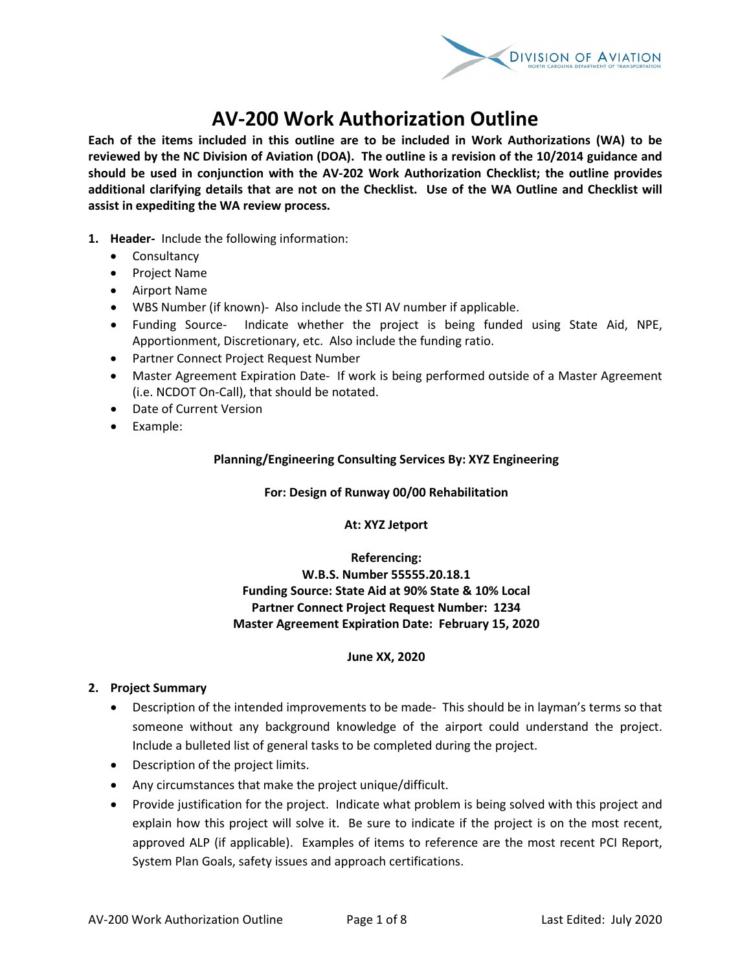

# **AV-200 Work Authorization Outline**

**Each of the items included in this outline are to be included in Work Authorizations (WA) to be reviewed by the NC Division of Aviation (DOA). The outline is a revision of the 10/2014 guidance and should be used in conjunction with the AV-202 Work Authorization Checklist; the outline provides additional clarifying details that are not on the Checklist. Use of the WA Outline and Checklist will assist in expediting the WA review process.** 

- **1. Header-** Include the following information:
	- Consultancy
	- Project Name
	- Airport Name
	- WBS Number (if known)- Also include the STI AV number if applicable.
	- Funding Source- Indicate whether the project is being funded using State Aid, NPE, Apportionment, Discretionary, etc. Also include the funding ratio.
	- Partner Connect Project Request Number
	- Master Agreement Expiration Date- If work is being performed outside of a Master Agreement (i.e. NCDOT On-Call), that should be notated.
	- Date of Current Version
	- Example:

# **Planning/Engineering Consulting Services By: XYZ Engineering**

#### **For: Design of Runway 00/00 Rehabilitation**

**At: XYZ Jetport**

**Referencing: W.B.S. Number 55555.20.18.1 Funding Source: State Aid at 90% State & 10% Local Partner Connect Project Request Number: 1234 Master Agreement Expiration Date: February 15, 2020**

#### **June XX, 2020**

#### **2. Project Summary**

- Description of the intended improvements to be made- This should be in layman's terms so that someone without any background knowledge of the airport could understand the project. Include a bulleted list of general tasks to be completed during the project.
- Description of the project limits.
- Any circumstances that make the project unique/difficult.
- Provide justification for the project. Indicate what problem is being solved with this project and explain how this project will solve it. Be sure to indicate if the project is on the most recent, approved ALP (if applicable). Examples of items to reference are the most recent PCI Report, System Plan Goals, safety issues and approach certifications.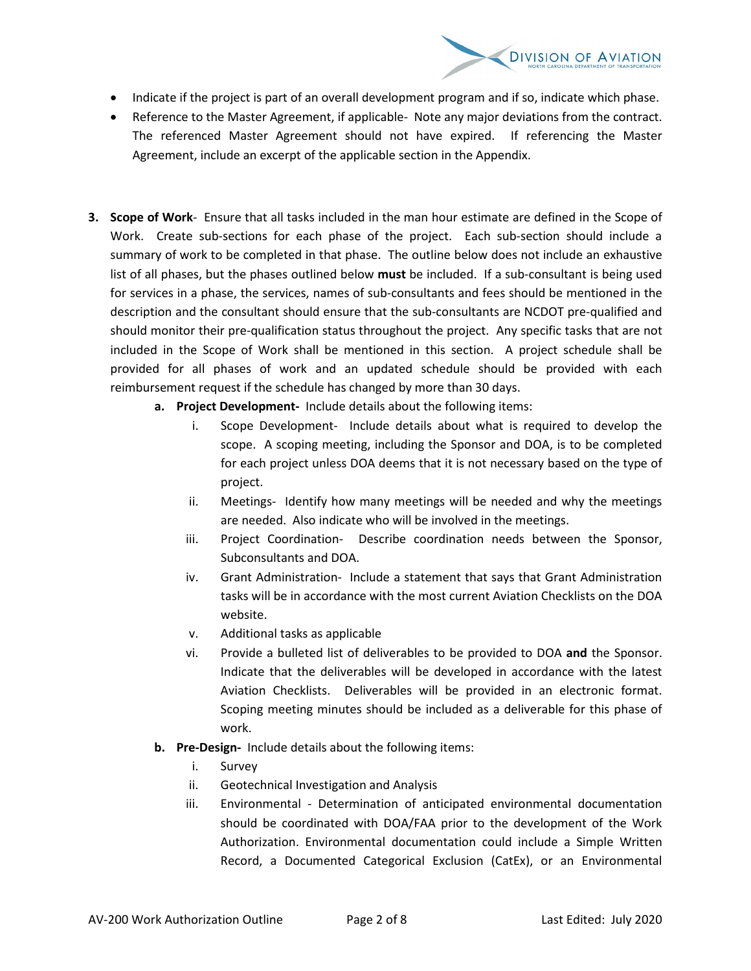

- Indicate if the project is part of an overall development program and if so, indicate which phase.
- Reference to the Master Agreement, if applicable- Note any major deviations from the contract. The referenced Master Agreement should not have expired. If referencing the Master Agreement, include an excerpt of the applicable section in the Appendix.
- **3. Scope of Work** Ensure that all tasks included in the man hour estimate are defined in the Scope of Work. Create sub-sections for each phase of the project. Each sub-section should include a summary of work to be completed in that phase. The outline below does not include an exhaustive list of all phases, but the phases outlined below **must** be included. If a sub-consultant is being used for services in a phase, the services, names of sub-consultants and fees should be mentioned in the description and the consultant should ensure that the sub-consultants are NCDOT pre-qualified and should monitor their pre-qualification status throughout the project. Any specific tasks that are not included in the Scope of Work shall be mentioned in this section. A project schedule shall be provided for all phases of work and an updated schedule should be provided with each reimbursement request if the schedule has changed by more than 30 days.
	- **a. Project Development-** Include details about the following items:
		- i. Scope Development- Include details about what is required to develop the scope. A scoping meeting, including the Sponsor and DOA, is to be completed for each project unless DOA deems that it is not necessary based on the type of project.
		- ii. Meetings- Identify how many meetings will be needed and why the meetings are needed. Also indicate who will be involved in the meetings.
		- iii. Project Coordination- Describe coordination needs between the Sponsor, Subconsultants and DOA.
		- iv. Grant Administration- Include a statement that says that Grant Administration tasks will be in accordance with the most current Aviation Checklists on the DOA website.
		- v. Additional tasks as applicable
		- vi. Provide a bulleted list of deliverables to be provided to DOA **and** the Sponsor. Indicate that the deliverables will be developed in accordance with the latest Aviation Checklists. Deliverables will be provided in an electronic format. Scoping meeting minutes should be included as a deliverable for this phase of work.
	- **b. Pre-Design-** Include details about the following items:
		- i. Survey
		- ii. Geotechnical Investigation and Analysis
		- iii. Environmental Determination of anticipated environmental documentation should be coordinated with DOA/FAA prior to the development of the Work Authorization. Environmental documentation could include a Simple Written Record, a Documented Categorical Exclusion (CatEx), or an Environmental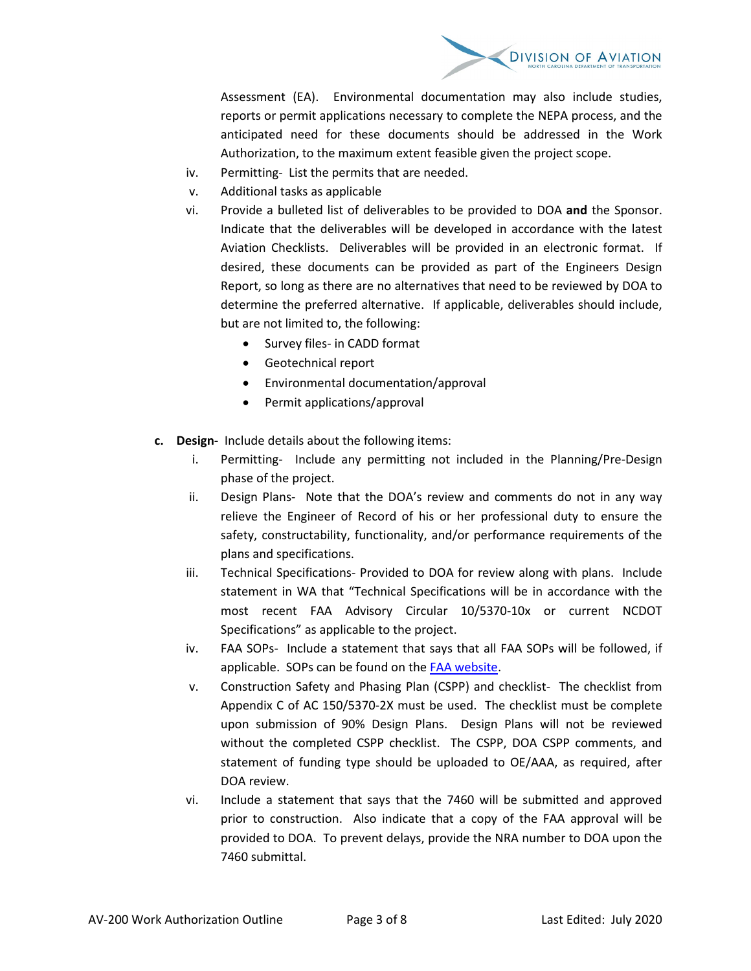

Assessment (EA). Environmental documentation may also include studies, reports or permit applications necessary to complete the NEPA process, and the anticipated need for these documents should be addressed in the Work Authorization, to the maximum extent feasible given the project scope.

- iv. Permitting- List the permits that are needed.
- v. Additional tasks as applicable
- vi. Provide a bulleted list of deliverables to be provided to DOA **and** the Sponsor. Indicate that the deliverables will be developed in accordance with the latest Aviation Checklists. Deliverables will be provided in an electronic format. If desired, these documents can be provided as part of the Engineers Design Report, so long as there are no alternatives that need to be reviewed by DOA to determine the preferred alternative. If applicable, deliverables should include, but are not limited to, the following:
	- Survey files- in CADD format
	- Geotechnical report
	- Environmental documentation/approval
	- Permit applications/approval
- **c. Design-** Include details about the following items:
	- i. Permitting- Include any permitting not included in the Planning/Pre-Design phase of the project.
	- ii. Design Plans- Note that the DOA's review and comments do not in any way relieve the Engineer of Record of his or her professional duty to ensure the safety, constructability, functionality, and/or performance requirements of the plans and specifications.
	- iii. Technical Specifications- Provided to DOA for review along with plans. Include statement in WA that "Technical Specifications will be in accordance with the most recent FAA Advisory Circular 10/5370-10x or current NCDOT Specifications" as applicable to the project.
	- iv. FAA SOPs- Include a statement that says that all FAA SOPs will be followed, if applicable. SOPs can be found on th[e FAA website.](https://www.faa.gov/airports/resources/sops/)
	- v. Construction Safety and Phasing Plan (CSPP) and checklist- The checklist from Appendix C of AC 150/5370-2X must be used. The checklist must be complete upon submission of 90% Design Plans. Design Plans will not be reviewed without the completed CSPP checklist. The CSPP, DOA CSPP comments, and statement of funding type should be uploaded to OE/AAA, as required, after DOA review.
	- vi. Include a statement that says that the 7460 will be submitted and approved prior to construction. Also indicate that a copy of the FAA approval will be provided to DOA. To prevent delays, provide the NRA number to DOA upon the 7460 submittal.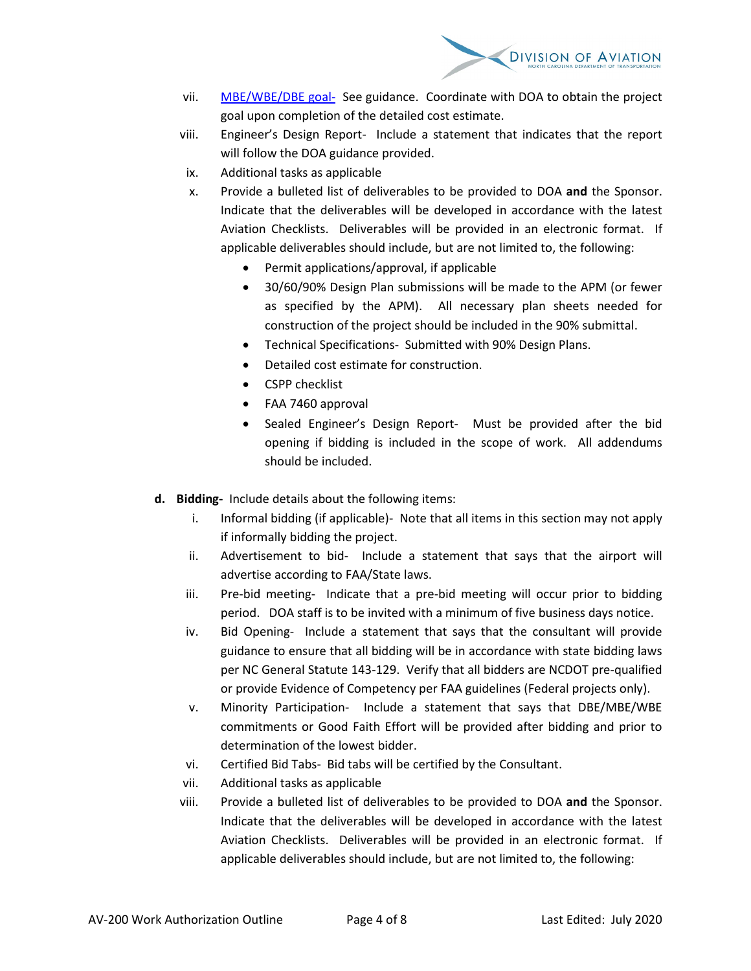

- vii. [MBE/WBE/DBE goal-](https://connect.ncdot.gov/municipalities/State-Airport-Aid/State%20Airport%20Aid%20Documents/DBE-MBE-WBE%20Guidance.pdf) See guidance. Coordinate with DOA to obtain the project goal upon completion of the detailed cost estimate.
- viii. Engineer's Design Report- Include a statement that indicates that the report will follow the DOA guidance provided.
- ix. Additional tasks as applicable
- x. Provide a bulleted list of deliverables to be provided to DOA **and** the Sponsor. Indicate that the deliverables will be developed in accordance with the latest Aviation Checklists. Deliverables will be provided in an electronic format. If applicable deliverables should include, but are not limited to, the following:
	- Permit applications/approval, if applicable
	- 30/60/90% Design Plan submissions will be made to the APM (or fewer as specified by the APM). All necessary plan sheets needed for construction of the project should be included in the 90% submittal.
	- Technical Specifications- Submitted with 90% Design Plans.
	- Detailed cost estimate for construction.
	- CSPP checklist
	- FAA 7460 approval
	- Sealed Engineer's Design Report- Must be provided after the bid opening if bidding is included in the scope of work. All addendums should be included.
- **d. Bidding-** Include details about the following items:
	- i. Informal bidding (if applicable)- Note that all items in this section may not apply if informally bidding the project.
	- ii. Advertisement to bid- Include a statement that says that the airport will advertise according to FAA/State laws.
	- iii. Pre-bid meeting- Indicate that a pre-bid meeting will occur prior to bidding period. DOA staff is to be invited with a minimum of five business days notice.
	- iv. Bid Opening- Include a statement that says that the consultant will provide guidance to ensure that all bidding will be in accordance with state bidding laws per NC General Statute 143-129. Verify that all bidders are NCDOT pre-qualified or provide Evidence of Competency per FAA guidelines (Federal projects only).
	- v. Minority Participation- Include a statement that says that DBE/MBE/WBE commitments or Good Faith Effort will be provided after bidding and prior to determination of the lowest bidder.
	- vi. Certified Bid Tabs- Bid tabs will be certified by the Consultant.
	- vii. Additional tasks as applicable
	- viii. Provide a bulleted list of deliverables to be provided to DOA **and** the Sponsor. Indicate that the deliverables will be developed in accordance with the latest Aviation Checklists. Deliverables will be provided in an electronic format. If applicable deliverables should include, but are not limited to, the following: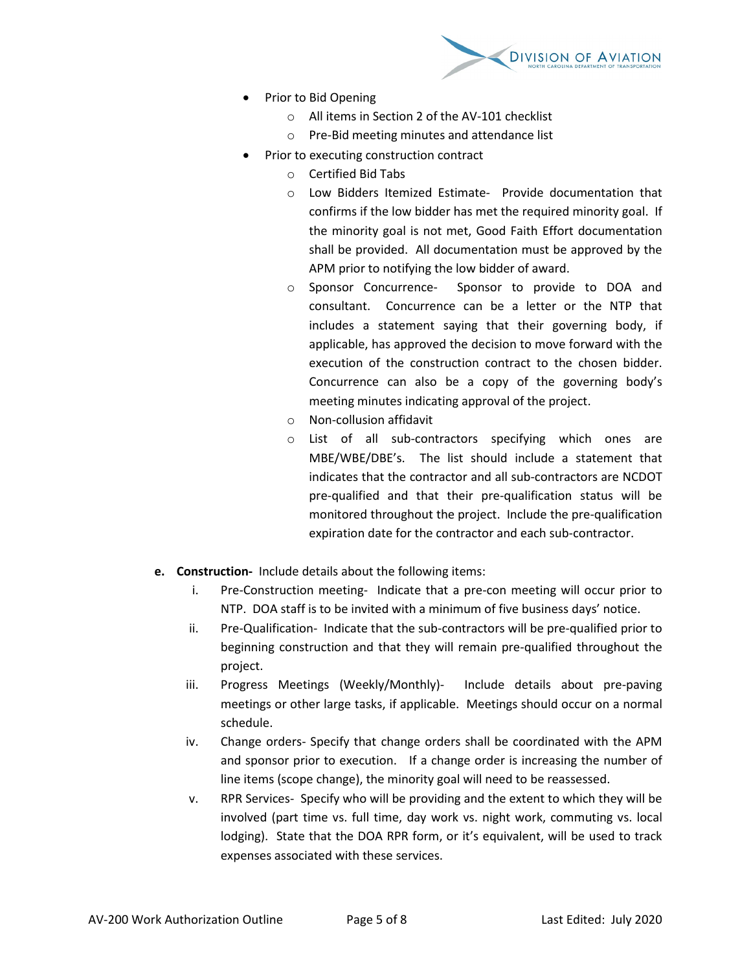

- Prior to Bid Opening
	- o All items in Section 2 of the AV-101 checklist
	- o Pre-Bid meeting minutes and attendance list
- Prior to executing construction contract
	- o Certified Bid Tabs
	- o Low Bidders Itemized Estimate- Provide documentation that confirms if the low bidder has met the required minority goal. If the minority goal is not met, Good Faith Effort documentation shall be provided. All documentation must be approved by the APM prior to notifying the low bidder of award.
	- o Sponsor Concurrence- Sponsor to provide to DOA and consultant. Concurrence can be a letter or the NTP that includes a statement saying that their governing body, if applicable, has approved the decision to move forward with the execution of the construction contract to the chosen bidder. Concurrence can also be a copy of the governing body's meeting minutes indicating approval of the project.
	- o Non-collusion affidavit
	- o List of all sub-contractors specifying which ones are MBE/WBE/DBE's. The list should include a statement that indicates that the contractor and all sub-contractors are NCDOT pre-qualified and that their pre-qualification status will be monitored throughout the project. Include the pre-qualification expiration date for the contractor and each sub-contractor.
- **e. Construction-** Include details about the following items:
	- i. Pre-Construction meeting- Indicate that a pre-con meeting will occur prior to NTP. DOA staff is to be invited with a minimum of five business days' notice.
	- ii. Pre-Qualification- Indicate that the sub-contractors will be pre-qualified prior to beginning construction and that they will remain pre-qualified throughout the project.
	- iii. Progress Meetings (Weekly/Monthly)- Include details about pre-paving meetings or other large tasks, if applicable. Meetings should occur on a normal schedule.
	- iv. Change orders- Specify that change orders shall be coordinated with the APM and sponsor prior to execution. If a change order is increasing the number of line items (scope change), the minority goal will need to be reassessed.
	- v. RPR Services- Specify who will be providing and the extent to which they will be involved (part time vs. full time, day work vs. night work, commuting vs. local lodging). State that the DOA RPR form, or it's equivalent, will be used to track expenses associated with these services.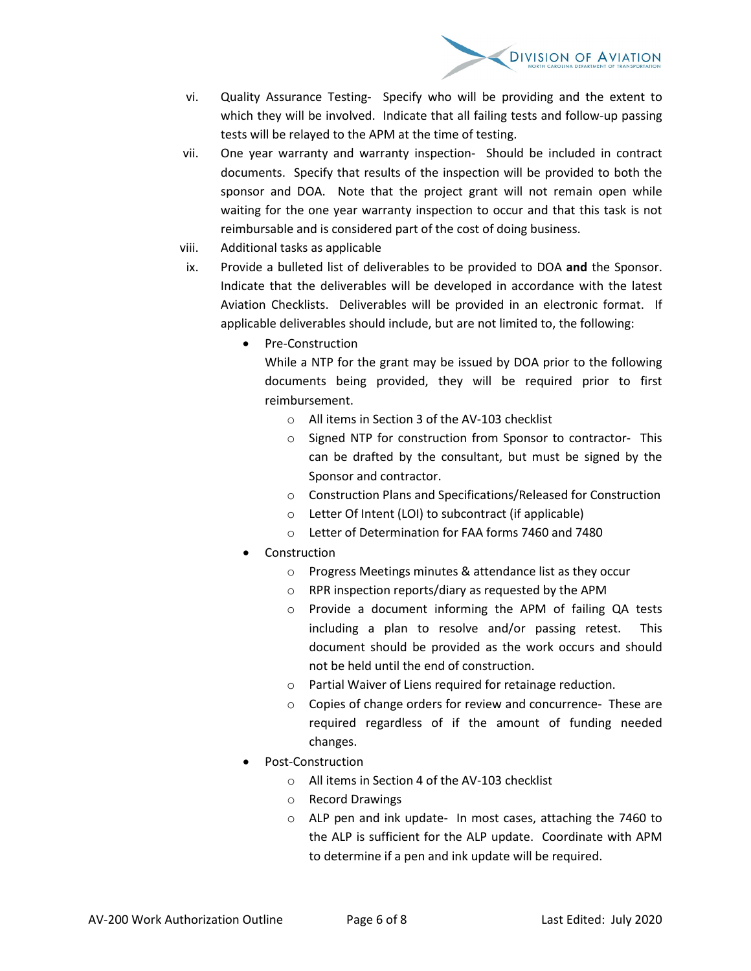

- vi. Quality Assurance Testing- Specify who will be providing and the extent to which they will be involved. Indicate that all failing tests and follow-up passing tests will be relayed to the APM at the time of testing.
- vii. One year warranty and warranty inspection- Should be included in contract documents. Specify that results of the inspection will be provided to both the sponsor and DOA. Note that the project grant will not remain open while waiting for the one year warranty inspection to occur and that this task is not reimbursable and is considered part of the cost of doing business.
- viii. Additional tasks as applicable
- ix. Provide a bulleted list of deliverables to be provided to DOA **and** the Sponsor. Indicate that the deliverables will be developed in accordance with the latest Aviation Checklists. Deliverables will be provided in an electronic format. If applicable deliverables should include, but are not limited to, the following:
	- Pre-Construction

While a NTP for the grant may be issued by DOA prior to the following documents being provided, they will be required prior to first reimbursement.

- o All items in Section 3 of the AV-103 checklist
- o Signed NTP for construction from Sponsor to contractor- This can be drafted by the consultant, but must be signed by the Sponsor and contractor.
- o Construction Plans and Specifications/Released for Construction
- o Letter Of Intent (LOI) to subcontract (if applicable)
- o Letter of Determination for FAA forms 7460 and 7480
- **Construction** 
	- o Progress Meetings minutes & attendance list as they occur
	- o RPR inspection reports/diary as requested by the APM
	- o Provide a document informing the APM of failing QA tests including a plan to resolve and/or passing retest. This document should be provided as the work occurs and should not be held until the end of construction.
	- o Partial Waiver of Liens required for retainage reduction.
	- o Copies of change orders for review and concurrence- These are required regardless of if the amount of funding needed changes.
- Post-Construction
	- o All items in Section 4 of the AV-103 checklist
	- o Record Drawings
	- o ALP pen and ink update- In most cases, attaching the 7460 to the ALP is sufficient for the ALP update. Coordinate with APM to determine if a pen and ink update will be required.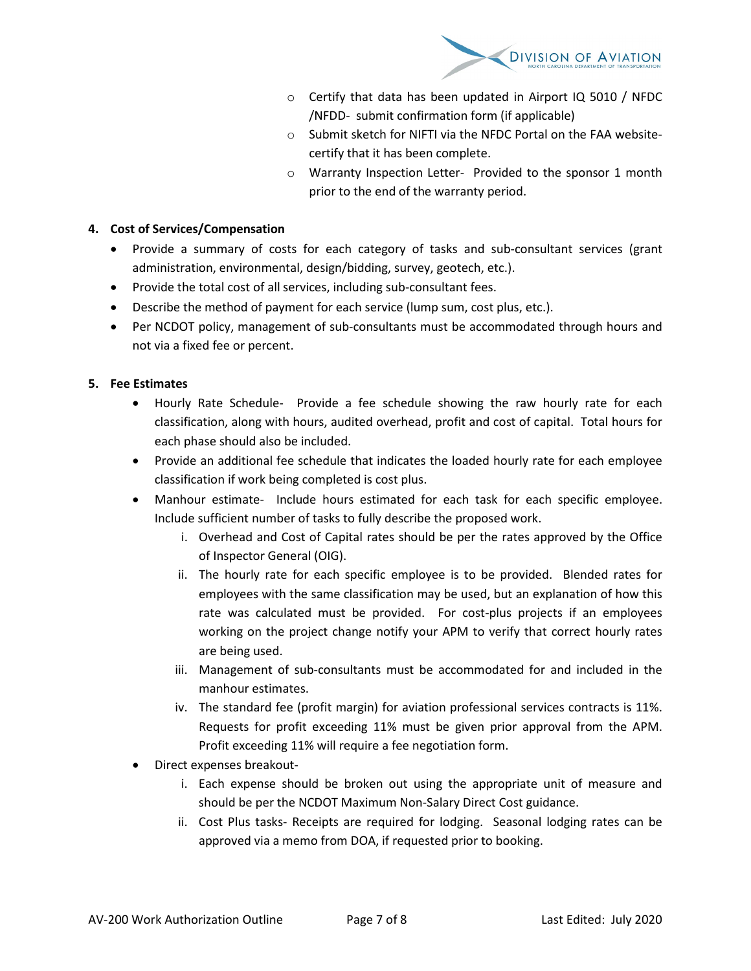

- o Certify that data has been updated in Airport IQ 5010 / NFDC /NFDD- submit confirmation form (if applicable)
- o Submit sketch for NIFTI via the NFDC Portal on the FAA websitecertify that it has been complete.
- o Warranty Inspection Letter- Provided to the sponsor 1 month prior to the end of the warranty period.

### **4. Cost of Services/Compensation**

- Provide a summary of costs for each category of tasks and sub-consultant services (grant administration, environmental, design/bidding, survey, geotech, etc.).
- Provide the total cost of all services, including sub-consultant fees.
- Describe the method of payment for each service (lump sum, cost plus, etc.).
- Per NCDOT policy, management of sub-consultants must be accommodated through hours and not via a fixed fee or percent.

# **5. Fee Estimates**

- Hourly Rate Schedule- Provide a fee schedule showing the raw hourly rate for each classification, along with hours, audited overhead, profit and cost of capital. Total hours for each phase should also be included.
- Provide an additional fee schedule that indicates the loaded hourly rate for each employee classification if work being completed is cost plus.
- Manhour estimate- Include hours estimated for each task for each specific employee. Include sufficient number of tasks to fully describe the proposed work.
	- i. Overhead and Cost of Capital rates should be per the rates approved by the Office of Inspector General (OIG).
	- ii. The hourly rate for each specific employee is to be provided. Blended rates for employees with the same classification may be used, but an explanation of how this rate was calculated must be provided. For cost-plus projects if an employees working on the project change notify your APM to verify that correct hourly rates are being used.
	- iii. Management of sub-consultants must be accommodated for and included in the manhour estimates.
	- iv. The standard fee (profit margin) for aviation professional services contracts is 11%. Requests for profit exceeding 11% must be given prior approval from the APM. Profit exceeding 11% will require a fee negotiation form.
- Direct expenses breakout
	- i. Each expense should be broken out using the appropriate unit of measure and should be per the NCDOT Maximum Non-Salary Direct Cost guidance.
	- ii. Cost Plus tasks- Receipts are required for lodging. Seasonal lodging rates can be approved via a memo from DOA, if requested prior to booking.